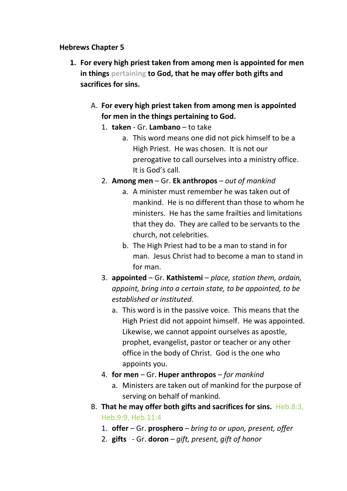#### **Hebrews Chapter 5**

- **1. For every high priest taken from among men is appointed for men in things pertaining to God, that he may offer both gifts and sacrifices for sins.**
	- A. **For every high priest taken from among men is appointed for men in the things pertaining to God.**
		- 1. **taken**  Gr. **Lambano** to take
			- a. This word means one did not pick himself to be a High Priest. He was chosen. It is not our prerogative to call ourselves into a ministry office. It is God's call.
		- 2. **Among men**  Gr. **Ek anthropos**  *out of mankind*
			- a. A minister must remember he was taken out of mankind. He is no different than those to whom he ministers. He has the same frailties and limitations that they do. They are called to be servants to the church, not celebrities.
			- b. The High Priest had to be a man to stand in for man. Jesus Christ had to become a man to stand in for man.
		- 3. **appointed**  Gr. **Kathistemi**  *place, station them, ordain, appoint, bring into a certain state, to be appointed, to be established or instituted.*
			- a. This word is in the passive voice. This means that the High Priest did not appoint himself. He was appointed. Likewise, we cannot appoint ourselves as apostle, prophet, evangelist, pastor or teacher or any other office in the body of Christ. God is the one who appoints you.
		- 4. **for men**  Gr. **Huper anthropos**  *for mankind*
			- a. Ministers are taken out of mankind for the purpose of serving on behalf of mankind.
	- B. **That he may offer both gifts and sacrifices for sins.** Heb.8:3, Heb.9:9, Heb.11:4
		- 1. **offer**  Gr. **prosphero** *bring to or upon, present, offer*
		- 2. **gifts**  Gr. **doron**  *gift, present, gift of honor*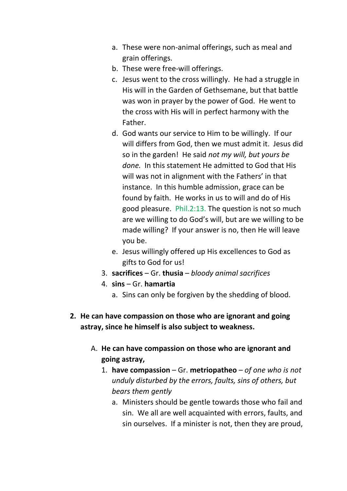- a. These were non-animal offerings, such as meal and grain offerings.
- b. These were free-will offerings.
- c. Jesus went to the cross willingly. He had a struggle in His will in the Garden of Gethsemane, but that battle was won in prayer by the power of God. He went to the cross with His will in perfect harmony with the Father.
- d. God wants our service to Him to be willingly. If our will differs from God, then we must admit it. Jesus did so in the garden! He said *not my will, but yours be done.* In this statement He admitted to God that His will was not in alignment with the Fathers' in that instance. In this humble admission, grace can be found by faith. He works in us to will and do of His good pleasure. Phil.2:13. The question is not so much are we willing to do God's will, but are we willing to be made willing? If your answer is no, then He will leave you be.
- e. Jesus willingly offered up His excellences to God as gifts to God for us!
- 3. **sacrifices** Gr. **thusia**  *bloody animal sacrifices*
- 4. **sins** Gr. **hamartia** 
	- a. Sins can only be forgiven by the shedding of blood.
- **2. He can have compassion on those who are ignorant and going astray, since he himself is also subject to weakness.**
	- A. **He can have compassion on those who are ignorant and going astray,**
		- 1. **have compassion**  Gr. **metriopatheo** *of one who is not unduly disturbed by the errors, faults, sins of others, but bears them gently*
			- a. Ministers should be gentle towards those who fail and sin. We all are well acquainted with errors, faults, and sin ourselves. If a minister is not, then they are proud,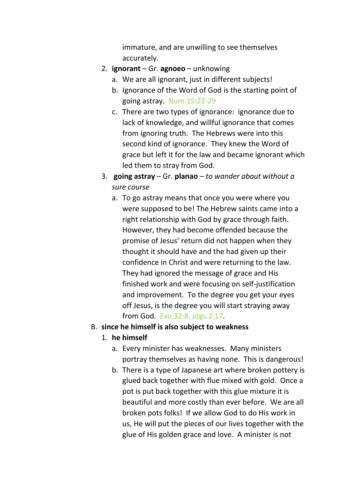immature, and are unwilling to see themselves accurately.

- 2. **ignorant** Gr. **agnoeo** unknowing
	- a. We are all ignorant, just in different subjects!
	- b. Ignorance of the Word of God is the starting point of going astray. Num.15:22-29
	- c. There are two types of ignorance: ignorance due to lack of knowledge, and willful ignorance that comes from ignoring truth. The Hebrews were into this second kind of ignorance. They knew the Word of grace but left it for the law and became ignorant which led them to stray from God.
- 3. **going astray** Gr. **planao** *to wander about without a sure course*
	- a. To go astray means that once you were where you were supposed to be! The Hebrew saints came into a right relationship with God by grace through faith. However, they had become offended because the promise of Jesus' return did not happen when they thought it should have and the had given up their confidence in Christ and were returning to the law. They had ignored the message of grace and His finished work and were focusing on self-justification and improvement. To the degree you get your eyes off Jesus, is the degree you will start straying away from God. Exo.32:8, Jdgs.2:17.

#### B. **since he himself is also subject to weakness**

- 1. **he himself**
	- a. Every minister has weaknesses. Many ministers portray themselves as having none. This is dangerous!
	- b. There is a type of Japanese art where broken pottery is glued back together with flue mixed with gold. Once a pot is put back together with this glue mixture it is beautiful and more costly than ever before. We are all broken pots folks! If we allow God to do His work in us, He will put the pieces of our lives together with the glue of His golden grace and love. A minister is not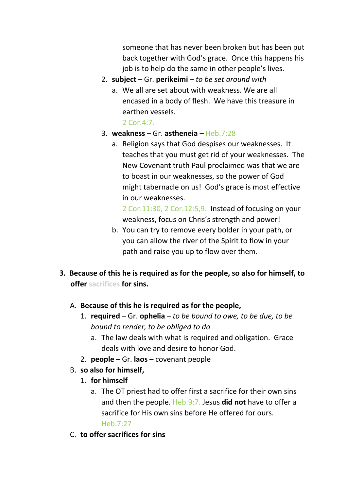someone that has never been broken but has been put back together with God's grace. Once this happens his job is to help do the same in other people's lives.

- 2. **subject**  Gr. **perikeimi**  *to be set around with*
	- a. We all are set about with weakness. We are all encased in a body of flesh. We have this treasure in earthen vessels. 2 Cor.4:7.
- 3. **weakness**  Gr. **astheneia** Heb.7:28
	- a. Religion says that God despises our weaknesses. It teaches that you must get rid of your weaknesses. The New Covenant truth Paul proclaimed was that we are to boast in our weaknesses, so the power of God might tabernacle on us! God's grace is most effective in our weaknesses.

2 Cor.11:30, 2 Cor.12:5,9. Instead of focusing on your weakness, focus on Chris's strength and power!

- b. You can try to remove every bolder in your path, or you can allow the river of the Spirit to flow in your path and raise you up to flow over them.
- **3. Because of this he is required as for the people, so also for himself, to offer sacrifices for sins.**
	- A. **Because of this he is required as for the people,**
		- 1. **required**  Gr. **ophelia** *to be bound to owe, to be due, to be bound to render, to be obliged to do*
			- a. The law deals with what is required and obligation. Grace deals with love and desire to honor God.
		- 2. **people** Gr. **laos** covenant people
	- B. **so also for himself,**
		- 1. **for himself**
			- a. The OT priest had to offer first a sacrifice for their own sins and then the people. Heb.9:7. Jesus **did not** have to offer a sacrifice for His own sins before He offered for ours. Heb.7:27
	- C. **to offer sacrifices for sins**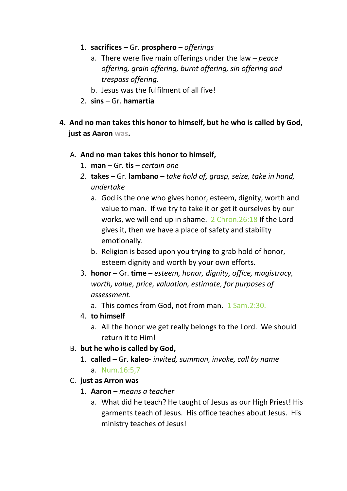- 1. **sacrifices**  Gr. **prosphero**  *offerings*
	- a. There were five main offerings under the law *peace offering, grain offering, burnt offering, sin offering and trespass offering.*
	- b. Jesus was the fulfilment of all five!
- 2. **sins**  Gr. **hamartia**
- **4. And no man takes this honor to himself, but he who is called by God, just as Aaron was.**

#### A. **And no man takes this honor to himself,**

- 1. **man** Gr. **tis** *certain one*
- *2.* **takes**  Gr. **lambano** *take hold of, grasp, seize, take in hand, undertake*
	- a. God is the one who gives honor, esteem, dignity, worth and value to man. If we try to take it or get it ourselves by our works, we will end up in shame. 2 Chron.26:18 If the Lord gives it, then we have a place of safety and stability emotionally.
	- b. Religion is based upon you trying to grab hold of honor, esteem dignity and worth by your own efforts.
- 3. **honor** Gr. **time**  *esteem, honor, dignity, office, magistracy, worth, value, price, valuation, estimate, for purposes of assessment.*

a. This comes from God, not from man. 1 Sam.2:30.

- 4. **to himself** 
	- a. All the honor we get really belongs to the Lord. We should return it to Him!
- B. **but he who is called by God,**
	- 1. **called**  Gr. **kaleo** *invited, summon, invoke, call by name* a. Num.16:5,7
- C. **just as Arron was**
	- 1. **Aaron** *means a teacher*
		- a. What did he teach? He taught of Jesus as our High Priest! His garments teach of Jesus. His office teaches about Jesus. His ministry teaches of Jesus!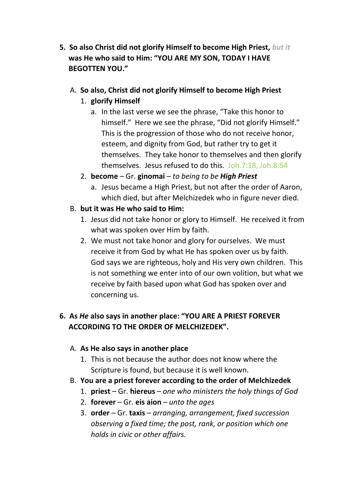- **5. So also Christ did not glorify Himself to become High Priest,** *but it*  **was He who said to Him: "YOU ARE MY SON, TODAY I HAVE BEGOTTEN YOU."**
	- A. **So also, Christ did not glorify Himself to become High Priest**
		- 1. **glorify Himself**
			- a. In the last verse we see the phrase, "Take this honor to himself." Here we see the phrase, "Did not glorify Himself." This is the progression of those who do not receive honor, esteem, and dignity from God, but rather try to get it themselves. They take honor to themselves and then glorify themselves. Jesus refused to do this. Joh.7:18, Joh.8:54
		- 2. **become** Gr. **ginomai**  *to being to be High Priest*
			- a. Jesus became a High Priest, but not after the order of Aaron, which died, but after Melchizedek who in figure never died.
	- B. **but it was He who said to Him:**
		- 1. Jesus did not take honor or glory to Himself. He received it from what was spoken over Him by faith.
		- 2. We must not take honor and glory for ourselves. We must receive it from God by what He has spoken over us by faith. God says we are righteous, holy and His very own children. This is not something we enter into of our own volition, but what we receive by faith based upon what God has spoken over and concerning us.

## **6. As** *He* **also says in another place: "YOU ARE A PRIEST FOREVER ACCORDING TO THE ORDER OF MELCHIZEDEK".**

### A. **As He also says in another place**

- 1. This is not because the author does not know where the Scripture is found, but because it is well known.
- B. **You are a priest forever according to the order of Melchizedek**
	- 1. **priest** Gr. **hiereus** *one who ministers the holy things of God*
	- 2. **forever**  Gr. **eis aion** *unto the ages*
	- 3. **order**  Gr. **taxis** *arranging, arrangement, fixed succession observing a fixed time; the post, rank, or position which one holds in civic or other affairs.*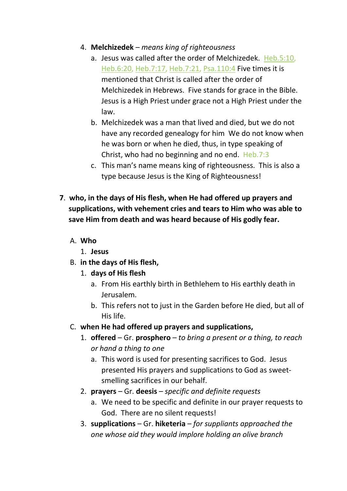- 4. **Melchizedek** *means king of righteousness*
	- a. Jesus was called after the order of Melchizedek. Heb.5:10, Heb.6:20, Heb.7:17, Heb.7:21, Psa.110:4 Five times it is mentioned that Christ is called after the order of Melchizedek in Hebrews. Five stands for grace in the Bible. Jesus is a High Priest under grace not a High Priest under the law.
	- b. Melchizedek was a man that lived and died, but we do not have any recorded genealogy for him We do not know when he was born or when he died, thus, in type speaking of Christ, who had no beginning and no end. Heb.7:3
	- c. This man's name means king of righteousness. This is also a type because Jesus is the King of Righteousness!
- **7**. **who, in the days of His flesh, when He had offered up prayers and supplications, with vehement cries and tears to Him who was able to save Him from death and was heard because of His godly fear.**
	- A. **Who**
		- 1. **Jesus**
	- B. **in the days of His flesh,**
		- 1. **days of His flesh**
			- a. From His earthly birth in Bethlehem to His earthly death in Jerusalem.
			- b. This refers not to just in the Garden before He died, but all of His life.
	- C. **when He had offered up prayers and supplications,**
		- 1. **offered**  Gr. **prosphero** *to bring a present or a thing, to reach or hand a thing to one*
			- a. This word is used for presenting sacrifices to God. Jesus presented His prayers and supplications to God as sweetsmelling sacrifices in our behalf.
		- 2. **prayers**  Gr. **deesis** *specific and definite requests*
			- a. We need to be specific and definite in our prayer requests to God. There are no silent requests!
		- 3. **supplications**  Gr. **hiketeria** *for suppliants approached the one whose aid they would implore holding an olive branch*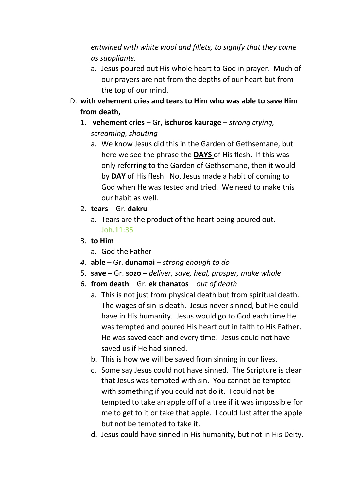*entwined with white wool and fillets, to signify that they came as suppliants.*

- a. Jesus poured out His whole heart to God in prayer. Much of our prayers are not from the depths of our heart but from the top of our mind.
- D. **with vehement cries and tears to Him who was able to save Him from death,**
	- 1. **vehement cries**  Gr, **ischuros kaurage** *strong crying, screaming, shouting*
		- a. We know Jesus did this in the Garden of Gethsemane, but here we see the phrase the **DAYS** of His flesh. If this was only referring to the Garden of Gethsemane, then it would by **DAY** of His flesh. No, Jesus made a habit of coming to God when He was tested and tried. We need to make this our habit as well.
	- 2. **tears**  Gr. **dakru**
		- a. Tears are the product of the heart being poured out. Joh.11:35
	- 3. **to Him**
		- a. God the Father
	- *4.* **able** Gr. **dunamai** *strong enough to do*
	- 5. **save**  Gr. **sozo** *deliver, save, heal, prosper, make whole*
	- 6. **from death** Gr. **ek thanatos** *out of death*
		- a. This is not just from physical death but from spiritual death. The wages of sin is death. Jesus never sinned, but He could have in His humanity. Jesus would go to God each time He was tempted and poured His heart out in faith to His Father. He was saved each and every time! Jesus could not have saved us if He had sinned.
		- b. This is how we will be saved from sinning in our lives.
		- c. Some say Jesus could not have sinned. The Scripture is clear that Jesus was tempted with sin. You cannot be tempted with something if you could not do it. I could not be tempted to take an apple off of a tree if it was impossible for me to get to it or take that apple. I could lust after the apple but not be tempted to take it.
		- d. Jesus could have sinned in His humanity, but not in His Deity.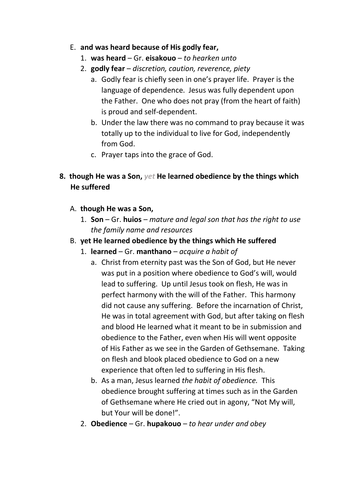### E. **and was heard because of His godly fear,**

- 1. **was heard**  Gr. **eisakouo** *to hearken unto*
- 2. **godly fear** *discretion, caution, reverence, piety*
	- a. Godly fear is chiefly seen in one's prayer life. Prayer is the language of dependence. Jesus was fully dependent upon the Father. One who does not pray (from the heart of faith) is proud and self-dependent.
	- b. Under the law there was no command to pray because it was totally up to the individual to live for God, independently from God.
	- c. Prayer taps into the grace of God.

# **8. though He was a Son,** *yet* **He learned obedience by the things which He suffered**

- A. **though He was a Son,**
	- 1. **Son** Gr. **huios** *mature and legal son that has the right to use the family name and resources*
- B. **yet He learned obedience by the things which He suffered**
	- 1. **learned**  Gr. **manthano** *acquire a habit of*
		- a. Christ from eternity past was the Son of God, but He never was put in a position where obedience to God's will, would lead to suffering. Up until Jesus took on flesh, He was in perfect harmony with the will of the Father. This harmony did not cause any suffering. Before the incarnation of Christ, He was in total agreement with God, but after taking on flesh and blood He learned what it meant to be in submission and obedience to the Father, even when His will went opposite of His Father as we see in the Garden of Gethsemane. Taking on flesh and blook placed obedience to God on a new experience that often led to suffering in His flesh.
		- b. As a man, Jesus learned *the habit of obedience.* This obedience brought suffering at times such as in the Garden of Gethsemane where He cried out in agony, "Not My will, but Your will be done!".
	- 2. **Obedience** Gr. **hupakouo** *to hear under and obey*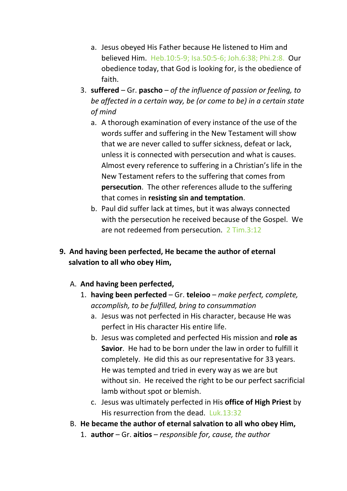- a. Jesus obeyed His Father because He listened to Him and believed Him. Heb.10:5-9; Isa.50:5-6; Joh.6:38; Phi.2:8. Our obedience today, that God is looking for, is the obedience of faith.
- 3. **suffered**  Gr. **pascho** *of the influence of passion or feeling, to be affected in a certain way, be (or come to be) in a certain state of mind*
	- a. A thorough examination of every instance of the use of the words suffer and suffering in the New Testament will show that we are never called to suffer sickness, defeat or lack, unless it is connected with persecution and what is causes. Almost every reference to suffering in a Christian's life in the New Testament refers to the suffering that comes from **persecution**. The other references allude to the suffering that comes in **resisting sin and temptation**.
	- b. Paul did suffer lack at times, but it was always connected with the persecution he received because of the Gospel. We are not redeemed from persecution. 2 Tim.3:12

## **9. And having been perfected, He became the author of eternal salvation to all who obey Him,**

### A. **And having been perfected,**

- 1. **having been perfected** Gr. **teleioo** *make perfect, complete, accomplish, to be fulfilled, bring to consummation*
	- a. Jesus was not perfected in His character, because He was perfect in His character His entire life.
	- b. Jesus was completed and perfected His mission and **role as Savior**. He had to be born under the law in order to fulfill it completely. He did this as our representative for 33 years. He was tempted and tried in every way as we are but without sin. He received the right to be our perfect sacrificial lamb without spot or blemish.
	- c. Jesus was ultimately perfected in His **office of High Priest** by His resurrection from the dead. Luk.13:32
- B. **He became the author of eternal salvation to all who obey Him,**
	- 1. **author**  Gr. **aitios** *responsible for, cause, the author*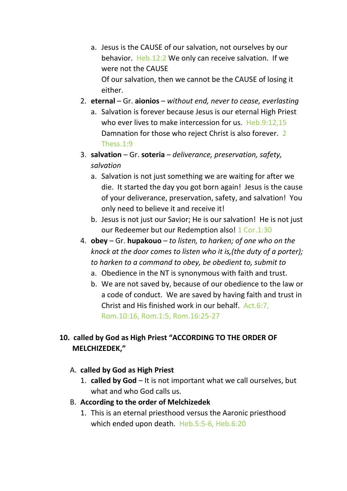- a. Jesus is the CAUSE of our salvation, not ourselves by our behavior. Heb.12:2 We only can receive salvation. If we were not the CAUSE Of our salvation, then we cannot be the CAUSE of losing it
- 2. **eternal** Gr. **aionios** *without end, never to cease, everlasting*
	- a. Salvation is forever because Jesus is our eternal High Priest who ever lives to make intercession for us. Heb.9:12,15 Damnation for those who reject Christ is also forever. 2 Thess.1:9
- 3. **salvation** Gr. **soteria** *deliverance, preservation, safety, salvation*
	- a. Salvation is not just something we are waiting for after we die. It started the day you got born again! Jesus is the cause of your deliverance, preservation, safety, and salvation! You only need to believe it and receive it!
	- b. Jesus is not just our Savior; He is our salvation! He is not just our Redeemer but our Redemption also! 1 Cor.1:30
- 4. **obey** Gr. **hupakouo** *to listen, to harken; of one who on the knock at the door comes to listen who it is,(the duty of a porter); to harken to a command to obey, be obedient to, submit to*
	- a. Obedience in the NT is synonymous with faith and trust.
	- b. We are not saved by, because of our obedience to the law or a code of conduct. We are saved by having faith and trust in Christ and His finished work in our behalf. Act.6:7, Rom.10:16, Rom.1:5, Rom.16:25-27

## **10. called by God as High Priest "ACCORDING TO THE ORDER OF MELCHIZEDEK,"**

### A. **called by God as High Priest**

either.

- 1. **called by God** It is not important what we call ourselves, but what and who God calls us.
- B. **According to the order of Melchizedek**
	- 1. This is an eternal priesthood versus the Aaronic priesthood which ended upon death. Heb.5:5-6, Heb.6:20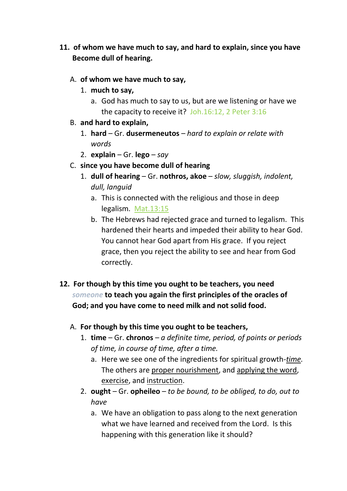- **11. of whom we have much to say, and hard to explain, since you have Become dull of hearing.**
	- A. **of whom we have much to say,**
		- 1. **much to say,**
			- a. God has much to say to us, but are we listening or have we the capacity to receive it? Joh.16:12, 2 Peter 3:16
	- B. **and hard to explain,**
		- 1. **hard** Gr. **dusermeneutos** *hard to explain or relate with words*
		- 2. **explain** Gr. **lego** *say*
	- C. **since you have become dull of hearing**
		- 1. **dull of hearing** Gr. **nothros, akoe** *slow, sluggish, indolent, dull, languid*
			- a. This is connected with the religious and those in deep legalism. Mat.13:15
			- b. The Hebrews had rejected grace and turned to legalism. This hardened their hearts and impeded their ability to hear God. You cannot hear God apart from His grace. If you reject grace, then you reject the ability to see and hear from God correctly.
- **12. For though by this time you ought to be teachers, you need**  *someone* **to teach you again the first principles of the oracles of God; and you have come to need milk and not solid food.**
	- A. **For though by this time you ought to be teachers,**
		- 1. **time** Gr. **chronos** *a definite time, period, of points or periods of time, in course of time, after a time.*
			- a. Here we see one of the ingredients for spiritual growth-*time.* The others are proper nourishment, and applying the word, exercise, and instruction.
		- 2. **ought**  Gr. **opheileo** *to be bound, to be obliged, to do, out to have*
			- a. We have an obligation to pass along to the next generation what we have learned and received from the Lord. Is this happening with this generation like it should?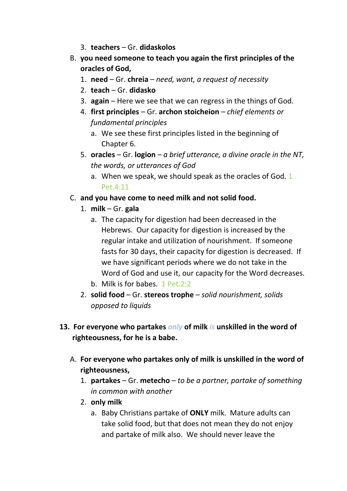- 3. **teachers** Gr. **didaskolos**
- B. **you need someone to teach you again the first principles of the oracles of God,**
	- 1. **need**  Gr. **chreia** *need, want, a request of necessity*
	- 2. **teach**  Gr. **didasko**
	- 3. **again**  Here we see that we can regress in the things of God.
	- 4. **first principles** Gr. **archon stoicheion** *chief elements or fundamental principles* 
		- a. We see these first principles listed in the beginning of Chapter 6.
	- 5. **oracles**  Gr. **logion** *a brief utterance, a divine oracle in the NT, the words, or utterances of God*
		- a. When we speak, we should speak as the oracles of God. 1 Pet.4:11
- C. **and you have come to need milk and not solid food.**
	- 1. **milk**  Gr. **gala**
		- a. The capacity for digestion had been decreased in the Hebrews. Our capacity for digestion is increased by the regular intake and utilization of nourishment. If someone fasts for 30 days, their capacity for digestion is decreased. If we have significant periods where we do not take in the Word of God and use it, our capacity for the Word decreases.
		- b. Milk is for babes. 1 Pet.2:2
	- 2. **solid food** Gr. **stereos trophe** *solid nourishment, solids opposed to liquids*
- **13. For everyone who partakes** *only* **of milk** *is* **unskilled in the word of righteousness, for he is a babe.**
	- A. **For everyone who partakes only of milk is unskilled in the word of righteousness,**
		- 1. **partakes** Gr. **metecho** *to be a partner, partake of something in common with another*
		- 2. **only milk**
			- a. Baby Christians partake of **ONLY** milk. Mature adults can take solid food, but that does not mean they do not enjoy and partake of milk also. We should never leave the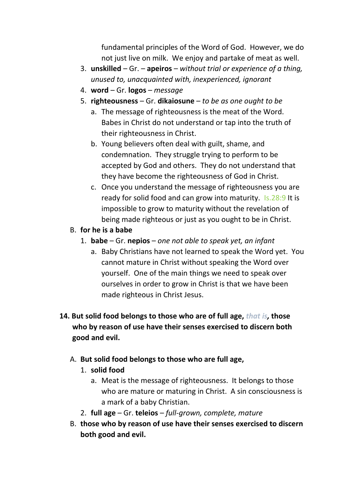fundamental principles of the Word of God. However, we do not just live on milk. We enjoy and partake of meat as well.

- 3. **unskilled** Gr. **apeiros** *without trial or experience of a thing, unused to, unacquainted with, inexperienced, ignorant*
- 4. **word**  Gr. **logos** *message*
- 5. **righteousness**  Gr. **dikaiosune** *to be as one ought to be*
	- a. The message of righteousness is the meat of the Word. Babes in Christ do not understand or tap into the truth of their righteousness in Christ.
	- b. Young believers often deal with guilt, shame, and condemnation. They struggle trying to perform to be accepted by God and others. They do not understand that they have become the righteousness of God in Christ.
	- c. Once you understand the message of righteousness you are ready for solid food and can grow into maturity. Is.28:9 It is impossible to grow to maturity without the revelation of being made righteous or just as you ought to be in Christ.
- B. **for he is a babe**
	- 1. **babe**  Gr. **nepios** *one not able to speak yet, an infant*
		- a. Baby Christians have not learned to speak the Word yet. You cannot mature in Christ without speaking the Word over yourself. One of the main things we need to speak over ourselves in order to grow in Christ is that we have been made righteous in Christ Jesus.
- **14. But solid food belongs to those who are of full age,** *that is,* **those who by reason of use have their senses exercised to discern both good and evil.**
	- A. **But solid food belongs to those who are full age,**
		- 1. **solid food**
			- a. Meat is the message of righteousness. It belongs to those who are mature or maturing in Christ. A sin consciousness is a mark of a baby Christian.
		- 2. **full age** Gr. **teleios** *full-grown, complete, mature*
	- B. **those who by reason of use have their senses exercised to discern both good and evil.**